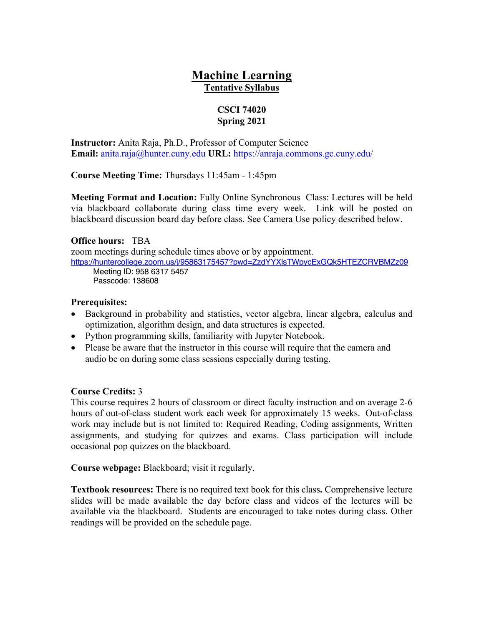# **Machine Learning Tentative Syllabus**

#### **CSCI 74020 Spring 2021**

**Instructor:** Anita Raja, Ph.D., Professor of Computer Science **Email:** anita.raja@hunter.cuny.edu **URL:** https://anraja.commons.gc.cuny.edu/

**Course Meeting Time:** Thursdays 11:45am - 1:45pm

**Meeting Format and Location:** Fully Online Synchronous Class: Lectures will be held via blackboard collaborate during class time every week. Link will be posted on blackboard discussion board day before class. See Camera Use policy described below.

#### **Office hours:** TBA

zoom meetings during schedule times above or by appointment.

https://huntercollege.zoom.us/j/95863175457?pwd=ZzdYYXlsTWpycExGQk5HTEZCRVBMZz09 Meeting ID: 958 6317 5457

Passcode: 138608

## **Prerequisites:**

- Background in probability and statistics, vector algebra, linear algebra, calculus and optimization, algorithm design, and data structures is expected.
- Python programming skills, familiarity with Jupyter Notebook.
- Please be aware that the instructor in this course will require that the camera and audio be on during some class sessions especially during testing.

## **Course Credits:** 3

This course requires 2 hours of classroom or direct faculty instruction and on average 2-6 hours of out-of-class student work each week for approximately 15 weeks. Out-of-class work may include but is not limited to: Required Reading, Coding assignments, Written assignments, and studying for quizzes and exams. Class participation will include occasional pop quizzes on the blackboard.

**Course webpage:** Blackboard; visit it regularly.

**Textbook resources:** There is no required text book for this class**.** Comprehensive lecture slides will be made available the day before class and videos of the lectures will be available via the blackboard. Students are encouraged to take notes during class. Other readings will be provided on the schedule page.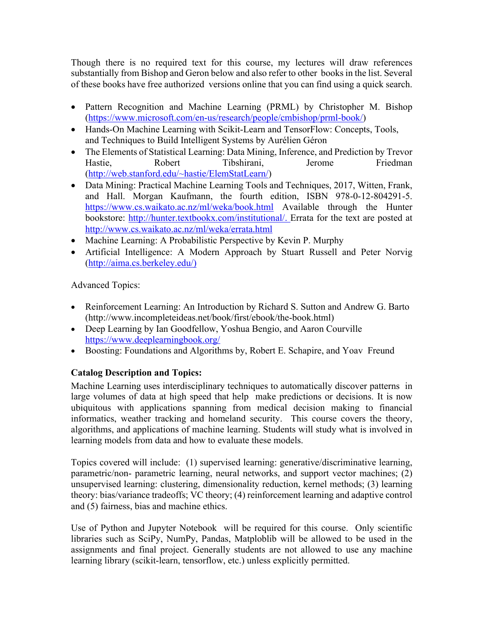Though there is no required text for this course, my lectures will draw references substantially from Bishop and Geron below and also refer to other books in the list. Several of these books have free authorized versions online that you can find using a quick search.

- Pattern Recognition and Machine Learning (PRML) by Christopher M. Bishop (https://www.microsoft.com/en-us/research/people/cmbishop/prml-book/)
- Hands-On Machine Learning with Scikit-Learn and TensorFlow: Concepts, Tools, and Techniques to Build Intelligent Systems by Aurélien Géron
- The Elements of Statistical Learning: Data Mining, Inference, and Prediction by Trevor Hastie. Robert Tibshirani, Jerome Friedman (http://web.stanford.edu/~hastie/ElemStatLearn/)
- Data Mining: Practical Machine Learning Tools and Techniques, 2017, Witten, Frank, and Hall. Morgan Kaufmann, the fourth edition, ISBN 978-0-12-804291-5. https://www.cs.waikato.ac.nz/ml/weka/book.html Available through the Hunter bookstore: http://hunter.textbookx.com/institutional/. Errata for the text are posted at http://www.cs.waikato.ac.nz/ml/weka/errata.html
- Machine Learning: A Probabilistic Perspective by Kevin P. Murphy
- Artificial Intelligence: A Modern Approach by Stuart Russell and Peter Norvig (http://aima.cs.berkeley.edu/)

Advanced Topics:

- Reinforcement Learning: An Introduction by Richard S. Sutton and Andrew G. Barto (http://www.incompleteideas.net/book/first/ebook/the-book.html)
- Deep Learning by Ian Goodfellow, Yoshua Bengio, and Aaron Courville https://www.deeplearningbook.org/
- Boosting: Foundations and Algorithms by, Robert E. Schapire, and Yoav Freund

## **Catalog Description and Topics:**

Machine Learning uses interdisciplinary techniques to automatically discover patterns in large volumes of data at high speed that help make predictions or decisions. It is now ubiquitous with applications spanning from medical decision making to financial informatics, weather tracking and homeland security. This course covers the theory, algorithms, and applications of machine learning. Students will study what is involved in learning models from data and how to evaluate these models.

Topics covered will include: (1) supervised learning: generative/discriminative learning, parametric/non- parametric learning, neural networks, and support vector machines; (2) unsupervised learning: clustering, dimensionality reduction, kernel methods; (3) learning theory: bias/variance tradeoffs; VC theory; (4) reinforcement learning and adaptive control and (5) fairness, bias and machine ethics.

Use of Python and Jupyter Notebook will be required for this course. Only scientific libraries such as SciPy, NumPy, Pandas, Matploblib will be allowed to be used in the assignments and final project. Generally students are not allowed to use any machine learning library (scikit-learn, tensorflow, etc.) unless explicitly permitted.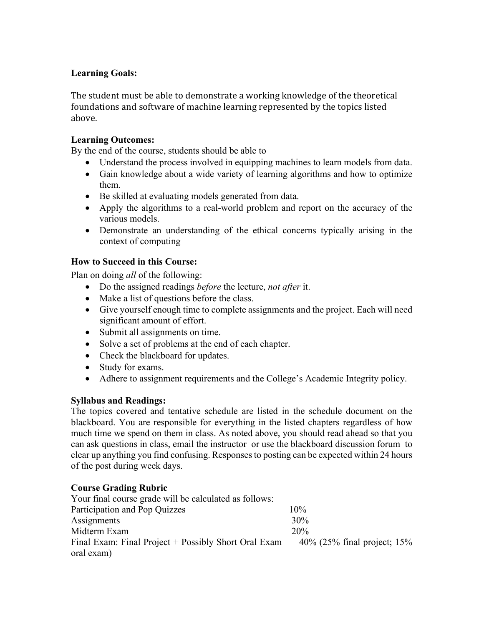## **Learning Goals:**

The student must be able to demonstrate a working knowledge of the theoretical foundations and software of machine learning represented by the topics listed above.

## **Learning Outcomes:**

By the end of the course, students should be able to

- Understand the process involved in equipping machines to learn models from data.
- Gain knowledge about a wide variety of learning algorithms and how to optimize them.
- Be skilled at evaluating models generated from data.
- Apply the algorithms to a real-world problem and report on the accuracy of the various models.
- Demonstrate an understanding of the ethical concerns typically arising in the context of computing

## **How to Succeed in this Course:**

Plan on doing *all* of the following:

- Do the assigned readings *before* the lecture, *not after* it.
- Make a list of questions before the class.
- Give yourself enough time to complete assignments and the project. Each will need significant amount of effort.
- Submit all assignments on time.
- Solve a set of problems at the end of each chapter.
- Check the blackboard for updates.
- Study for exams.
- Adhere to assignment requirements and the College's Academic Integrity policy.

## **Syllabus and Readings:**

The topics covered and tentative schedule are listed in the schedule document on the blackboard. You are responsible for everything in the listed chapters regardless of how much time we spend on them in class. As noted above, you should read ahead so that you can ask questions in class, email the instructor or use the blackboard discussion forum to clear up anything you find confusing. Responses to posting can be expected within 24 hours of the post during week days.

## **Course Grading Rubric**

| Your final course grade will be calculated as follows: |                               |
|--------------------------------------------------------|-------------------------------|
| Participation and Pop Quizzes                          | $10\%$                        |
| Assignments                                            | 30%                           |
| Midterm Exam                                           | 20%                           |
| Final Exam: Final Project + Possibly Short Oral Exam   | 40% (25% final project; $15%$ |
| oral exam)                                             |                               |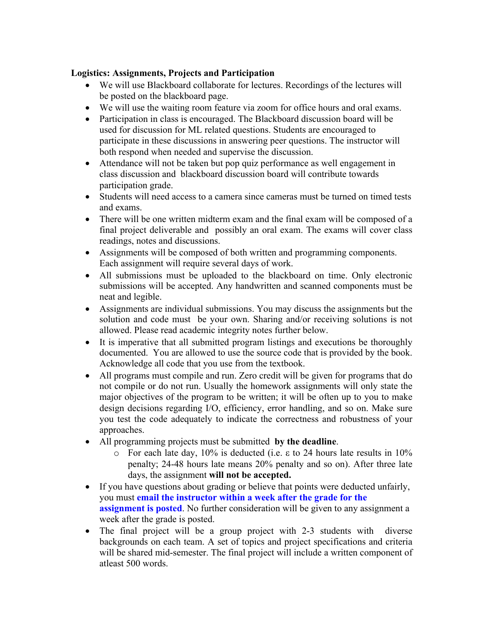#### **Logistics: Assignments, Projects and Participation**

- We will use Blackboard collaborate for lectures. Recordings of the lectures will be posted on the blackboard page.
- We will use the waiting room feature via zoom for office hours and oral exams.
- Participation in class is encouraged. The Blackboard discussion board will be used for discussion for ML related questions. Students are encouraged to participate in these discussions in answering peer questions. The instructor will both respond when needed and supervise the discussion.
- Attendance will not be taken but pop quiz performance as well engagement in class discussion and blackboard discussion board will contribute towards participation grade.
- Students will need access to a camera since cameras must be turned on timed tests and exams.
- There will be one written midterm exam and the final exam will be composed of a final project deliverable and possibly an oral exam. The exams will cover class readings, notes and discussions.
- Assignments will be composed of both written and programming components. Each assignment will require several days of work.
- All submissions must be uploaded to the blackboard on time. Only electronic submissions will be accepted. Any handwritten and scanned components must be neat and legible.
- Assignments are individual submissions. You may discuss the assignments but the solution and code must be your own. Sharing and/or receiving solutions is not allowed. Please read academic integrity notes further below.
- It is imperative that all submitted program listings and executions be thoroughly documented. You are allowed to use the source code that is provided by the book. Acknowledge all code that you use from the textbook.
- All programs must compile and run. Zero credit will be given for programs that do not compile or do not run. Usually the homework assignments will only state the major objectives of the program to be written; it will be often up to you to make design decisions regarding I/O, efficiency, error handling, and so on. Make sure you test the code adequately to indicate the correctness and robustness of your approaches.
- All programming projects must be submitted **by the deadline**.
	- $\circ$  For each late day, 10% is deducted (i.e.  $\varepsilon$  to 24 hours late results in 10% penalty; 24-48 hours late means 20% penalty and so on). After three late days, the assignment **will not be accepted.**
- If you have questions about grading or believe that points were deducted unfairly, you must **email the instructor within a week after the grade for the assignment is posted**. No further consideration will be given to any assignment a week after the grade is posted.
- The final project will be a group project with 2-3 students with diverse backgrounds on each team. A set of topics and project specifications and criteria will be shared mid-semester. The final project will include a written component of atleast 500 words.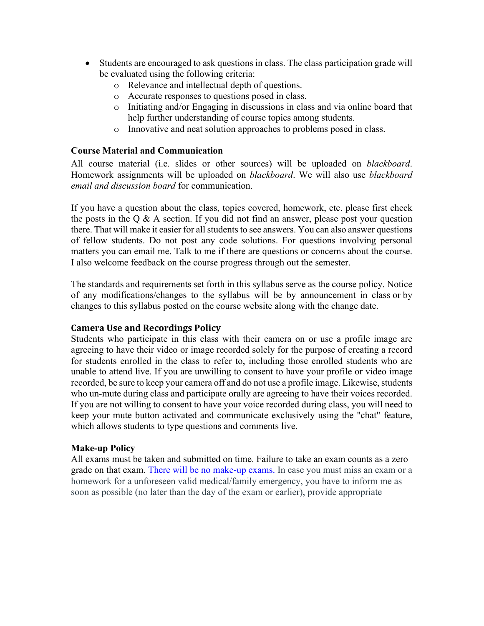- Students are encouraged to ask questions in class. The class participation grade will be evaluated using the following criteria:
	- o Relevance and intellectual depth of questions.
	- o Accurate responses to questions posed in class.
	- o Initiating and/or Engaging in discussions in class and via online board that help further understanding of course topics among students.
	- o Innovative and neat solution approaches to problems posed in class.

#### **Course Material and Communication**

All course material (i.e. slides or other sources) will be uploaded on *blackboard*. Homework assignments will be uploaded on *blackboard*. We will also use *blackboard email and discussion board* for communication.

If you have a question about the class, topics covered, homework, etc. please first check the posts in the  $Q \& A$  section. If you did not find an answer, please post your question there. That will make it easier for all students to see answers. You can also answer questions of fellow students. Do not post any code solutions. For questions involving personal matters you can email me. Talk to me if there are questions or concerns about the course. I also welcome feedback on the course progress through out the semester.

The standards and requirements set forth in this syllabus serve as the course policy. Notice of any modifications/changes to the syllabus will be by announcement in class or by changes to this syllabus posted on the course website along with the change date.

#### **Camera Use and Recordings Policy**

Students who participate in this class with their camera on or use a profile image are agreeing to have their video or image recorded solely for the purpose of creating a record for students enrolled in the class to refer to, including those enrolled students who are unable to attend live. If you are unwilling to consent to have your profile or video image recorded, be sure to keep your camera off and do not use a profile image. Likewise, students who un-mute during class and participate orally are agreeing to have their voices recorded. If you are not willing to consent to have your voice recorded during class, you will need to keep your mute button activated and communicate exclusively using the "chat" feature, which allows students to type questions and comments live.

#### **Make-up Policy**

All exams must be taken and submitted on time. Failure to take an exam counts as a zero grade on that exam. There will be no make-up exams. In case you must miss an exam or a homework for a unforeseen valid medical/family emergency, you have to inform me as soon as possible (no later than the day of the exam or earlier), provide appropriate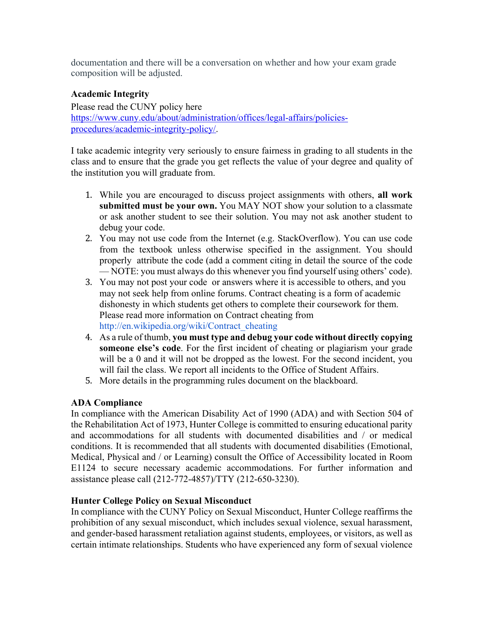documentation and there will be a conversation on whether and how your exam grade composition will be adjusted.

## **Academic Integrity**

Please read the CUNY policy here https://www.cuny.edu/about/administration/offices/legal-affairs/policiesprocedures/academic-integrity-policy/.

I take academic integrity very seriously to ensure fairness in grading to all students in the class and to ensure that the grade you get reflects the value of your degree and quality of the institution you will graduate from.

- 1. While you are encouraged to discuss project assignments with others, **all work submitted must be your own.** You MAY NOT show your solution to a classmate or ask another student to see their solution. You may not ask another student to debug your code.
- 2. You may not use code from the Internet (e.g. StackOverflow). You can use code from the textbook unless otherwise specified in the assignment. You should properly attribute the code (add a comment citing in detail the source of the code — NOTE: you must always do this whenever you find yourself using others' code).
- 3. You may not post your code or answers where it is accessible to others, and you may not seek help from online forums. Contract cheating is a form of academic dishonesty in which students get others to complete their coursework for them. Please read more information on Contract cheating from http://en.wikipedia.org/wiki/Contract\_cheating
- 4. As a rule of thumb, **you must type and debug your code without directly copying someone else's code**. For the first incident of cheating or plagiarism your grade will be a 0 and it will not be dropped as the lowest. For the second incident, you will fail the class. We report all incidents to the Office of Student Affairs.
- 5. More details in the programming rules document on the blackboard.

## **ADA Compliance**

In compliance with the American Disability Act of 1990 (ADA) and with Section 504 of the Rehabilitation Act of 1973, Hunter College is committed to ensuring educational parity and accommodations for all students with documented disabilities and / or medical conditions. It is recommended that all students with documented disabilities (Emotional, Medical, Physical and / or Learning) consult the Office of Accessibility located in Room E1124 to secure necessary academic accommodations. For further information and assistance please call (212-772-4857)/TTY (212-650-3230).

## **Hunter College Policy on Sexual Misconduct**

In compliance with the CUNY Policy on Sexual Misconduct, Hunter College reaffirms the prohibition of any sexual misconduct, which includes sexual violence, sexual harassment, and gender-based harassment retaliation against students, employees, or visitors, as well as certain intimate relationships. Students who have experienced any form of sexual violence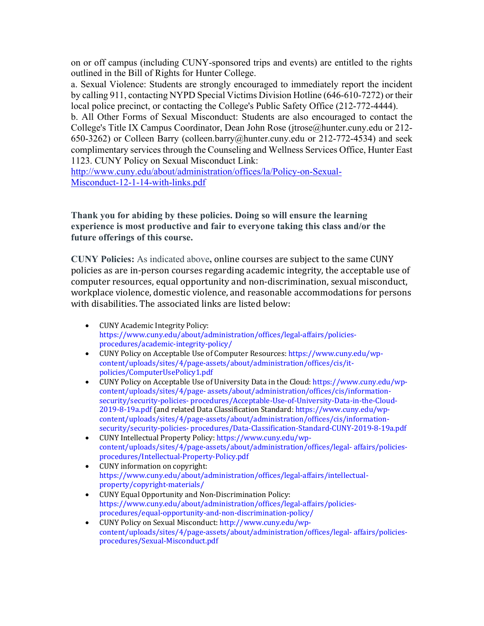on or off campus (including CUNY-sponsored trips and events) are entitled to the rights outlined in the Bill of Rights for Hunter College.

a. Sexual Violence: Students are strongly encouraged to immediately report the incident by calling 911, contacting NYPD Special Victims Division Hotline (646-610-7272) or their local police precinct, or contacting the College's Public Safety Office (212-772-4444).

b. All Other Forms of Sexual Misconduct: Students are also encouraged to contact the College's Title IX Campus Coordinator, Dean John Rose (jtrose@hunter.cuny.edu or 212- 650-3262) or Colleen Barry (colleen.barry@hunter.cuny.edu or 212-772-4534) and seek complimentary services through the Counseling and Wellness Services Office, Hunter East 1123. CUNY Policy on Sexual Misconduct Link:

http://www.cuny.edu/about/administration/offices/la/Policy-on-Sexual-Misconduct-12-1-14-with-links.pdf

**Thank you for abiding by these policies. Doing so will ensure the learning experience is most productive and fair to everyone taking this class and/or the future offerings of this course.**

**CUNY Policies:** As indicated above, online courses are subject to the same CUNY policies as are in-person courses regarding academic integrity, the acceptable use of computer resources, equal opportunity and non-discrimination, sexual misconduct, workplace violence, domestic violence, and reasonable accommodations for persons with disabilities. The associated links are listed below:

- CUNY Academic Integrity Policy: https://www.cuny.edu/about/administration/offices/legal-affairs/policiesprocedures/academic-integrity-policy/
- CUNY Policy on Acceptable Use of Computer Resources: https://www.cuny.edu/wpcontent/uploads/sites/4/page-assets/about/administration/offices/cis/itpolicies/ComputerUsePolicy1.pdf
- CUNY Policy on Acceptable Use of University Data in the Cloud: https://www.cuny.edu/wpcontent/uploads/sites/4/page- assets/about/administration/offices/cis/informationsecurity/security-policies- procedures/Acceptable-Use-of-University-Data-in-the-Cloud-2019-8-19a.pdf (and related Data Classification Standard: https://www.cuny.edu/wpcontent/uploads/sites/4/page-assets/about/administration/offices/cis/informationsecurity/security-policies- procedures/Data-Classification-Standard-CUNY-2019-8-19a.pdf
- CUNY Intellectual Property Policy: https://www.cuny.edu/wpcontent/uploads/sites/4/page-assets/about/administration/offices/legal- affairs/policiesprocedures/Intellectual-Property-Policy.pdf
- CUNY information on copyright: https://www.cuny.edu/about/administration/offices/legal-affairs/intellectualproperty/copyright-materials/
- CUNY Equal Opportunity and Non-Discrimination Policy: https://www.cuny.edu/about/administration/offices/legal-affairs/policiesprocedures/equal-opportunity-and-non-discrimination-policy/
- CUNY Policy on Sexual Misconduct: http://www.cuny.edu/wpcontent/uploads/sites/4/page-assets/about/administration/offices/legal- affairs/policiesprocedures/Sexual-Misconduct.pdf